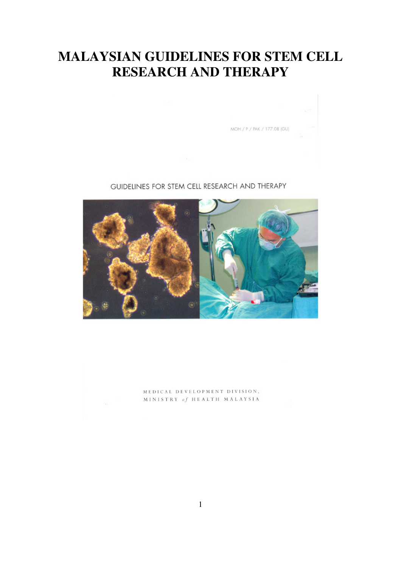# **MALAYSIAN GUIDELINES FOR STEM CELL RESEARCH AND THERAPY**

 $MOH / P / PAK / 177.08 (GU)$ 

### GUIDELINES FOR STEM CELL RESEARCH AND THERAPY



MEDICAL DEVELOPMENT DIVISION, MINISTRY of HEALTH MALAYSIA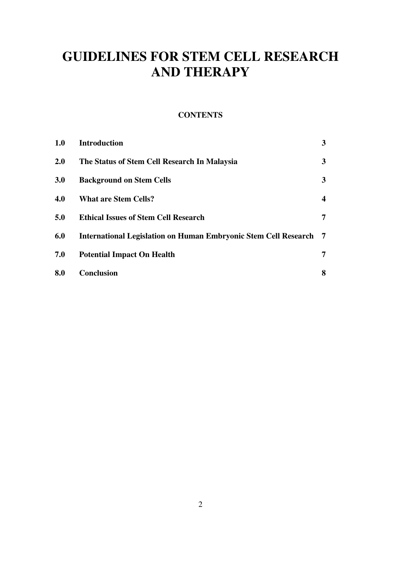# **GUIDELINES FOR STEM CELL RESEARCH AND THERAPY**

### **CONTENTS**

| 1.0        | <b>Introduction</b>                                                    | 3                       |
|------------|------------------------------------------------------------------------|-------------------------|
| 2.0        | The Status of Stem Cell Research In Malaysia                           | 3                       |
| <b>3.0</b> | <b>Background on Stem Cells</b>                                        | 3                       |
| 4.0        | <b>What are Stem Cells?</b>                                            | $\overline{\mathbf{4}}$ |
| 5.0        | <b>Ethical Issues of Stem Cell Research</b>                            | 7                       |
| 6.0        | <b>International Legislation on Human Embryonic Stem Cell Research</b> | -7                      |
| 7.0        | <b>Potential Impact On Health</b>                                      | 7                       |
| 8.0        | <b>Conclusion</b>                                                      | 8                       |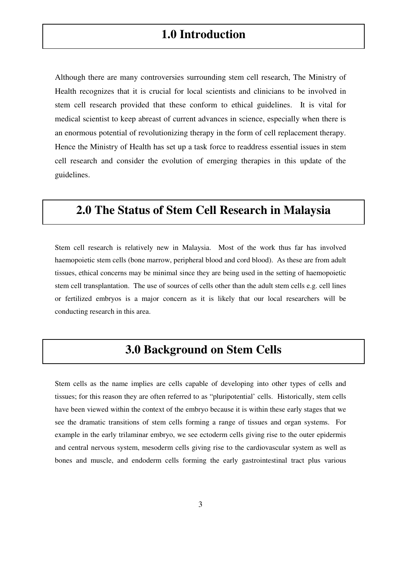Although there are many controversies surrounding stem cell research, The Ministry of Health recognizes that it is crucial for local scientists and clinicians to be involved in stem cell research provided that these conform to ethical guidelines. It is vital for medical scientist to keep abreast of current advances in science, especially when there is an enormous potential of revolutionizing therapy in the form of cell replacement therapy. Hence the Ministry of Health has set up a task force to readdress essential issues in stem cell research and consider the evolution of emerging therapies in this update of the guidelines.

### **2.0 The Status of Stem Cell Research in Malaysia**

Stem cell research is relatively new in Malaysia. Most of the work thus far has involved haemopoietic stem cells (bone marrow, peripheral blood and cord blood). As these are from adult tissues, ethical concerns may be minimal since they are being used in the setting of haemopoietic stem cell transplantation. The use of sources of cells other than the adult stem cells e.g. cell lines or fertilized embryos is a major concern as it is likely that our local researchers will be conducting research in this area.

### **3.0 Background on Stem Cells**

Stem cells as the name implies are cells capable of developing into other types of cells and tissues; for this reason they are often referred to as "pluripotential' cells. Historically, stem cells have been viewed within the context of the embryo because it is within these early stages that we see the dramatic transitions of stem cells forming a range of tissues and organ systems. For example in the early trilaminar embryo, we see ectoderm cells giving rise to the outer epidermis and central nervous system, mesoderm cells giving rise to the cardiovascular system as well as bones and muscle, and endoderm cells forming the early gastrointestinal tract plus various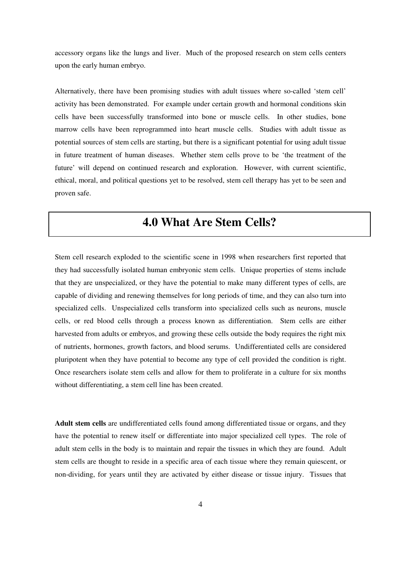accessory organs like the lungs and liver. Much of the proposed research on stem cells centers upon the early human embryo.

Alternatively, there have been promising studies with adult tissues where so-called 'stem cell' activity has been demonstrated. For example under certain growth and hormonal conditions skin cells have been successfully transformed into bone or muscle cells. In other studies, bone marrow cells have been reprogrammed into heart muscle cells. Studies with adult tissue as potential sources of stem cells are starting, but there is a significant potential for using adult tissue in future treatment of human diseases. Whether stem cells prove to be 'the treatment of the future' will depend on continued research and exploration. However, with current scientific, ethical, moral, and political questions yet to be resolved, stem cell therapy has yet to be seen and proven safe.

## **4.0 What Are Stem Cells?**

Stem cell research exploded to the scientific scene in 1998 when researchers first reported that they had successfully isolated human embryonic stem cells. Unique properties of stems include that they are unspecialized, or they have the potential to make many different types of cells, are capable of dividing and renewing themselves for long periods of time, and they can also turn into specialized cells. Unspecialized cells transform into specialized cells such as neurons, muscle cells, or red blood cells through a process known as differentiation. Stem cells are either harvested from adults or embryos, and growing these cells outside the body requires the right mix of nutrients, hormones, growth factors, and blood serums. Undifferentiated cells are considered pluripotent when they have potential to become any type of cell provided the condition is right. Once researchers isolate stem cells and allow for them to proliferate in a culture for six months without differentiating, a stem cell line has been created.

**Adult stem cells** are undifferentiated cells found among differentiated tissue or organs, and they have the potential to renew itself or differentiate into major specialized cell types. The role of adult stem cells in the body is to maintain and repair the tissues in which they are found. Adult stem cells are thought to reside in a specific area of each tissue where they remain quiescent, or non-dividing, for years until they are activated by either disease or tissue injury. Tissues that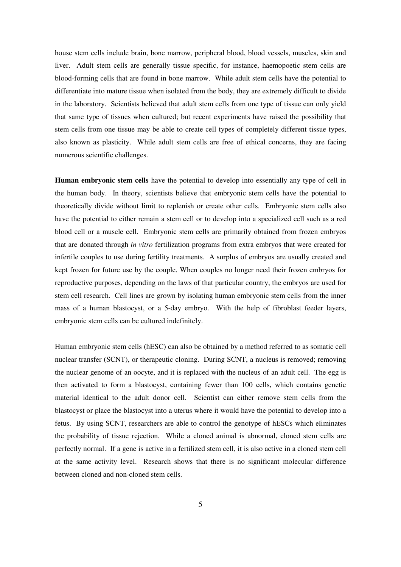house stem cells include brain, bone marrow, peripheral blood, blood vessels, muscles, skin and liver. Adult stem cells are generally tissue specific, for instance, haemopoetic stem cells are blood-forming cells that are found in bone marrow. While adult stem cells have the potential to differentiate into mature tissue when isolated from the body, they are extremely difficult to divide in the laboratory. Scientists believed that adult stem cells from one type of tissue can only yield that same type of tissues when cultured; but recent experiments have raised the possibility that stem cells from one tissue may be able to create cell types of completely different tissue types, also known as plasticity. While adult stem cells are free of ethical concerns, they are facing numerous scientific challenges.

**Human embryonic stem cells** have the potential to develop into essentially any type of cell in the human body. In theory, scientists believe that embryonic stem cells have the potential to theoretically divide without limit to replenish or create other cells. Embryonic stem cells also have the potential to either remain a stem cell or to develop into a specialized cell such as a red blood cell or a muscle cell. Embryonic stem cells are primarily obtained from frozen embryos that are donated through *in vitro* fertilization programs from extra embryos that were created for infertile couples to use during fertility treatments. A surplus of embryos are usually created and kept frozen for future use by the couple. When couples no longer need their frozen embryos for reproductive purposes, depending on the laws of that particular country, the embryos are used for stem cell research. Cell lines are grown by isolating human embryonic stem cells from the inner mass of a human blastocyst, or a 5-day embryo. With the help of fibroblast feeder layers, embryonic stem cells can be cultured indefinitely.

Human embryonic stem cells (hESC) can also be obtained by a method referred to as somatic cell nuclear transfer (SCNT), or therapeutic cloning. During SCNT, a nucleus is removed; removing the nuclear genome of an oocyte, and it is replaced with the nucleus of an adult cell. The egg is then activated to form a blastocyst, containing fewer than 100 cells, which contains genetic material identical to the adult donor cell. Scientist can either remove stem cells from the blastocyst or place the blastocyst into a uterus where it would have the potential to develop into a fetus. By using SCNT, researchers are able to control the genotype of hESCs which eliminates the probability of tissue rejection. While a cloned animal is abnormal, cloned stem cells are perfectly normal. If a gene is active in a fertilized stem cell, it is also active in a cloned stem cell at the same activity level. Research shows that there is no significant molecular difference between cloned and non-cloned stem cells.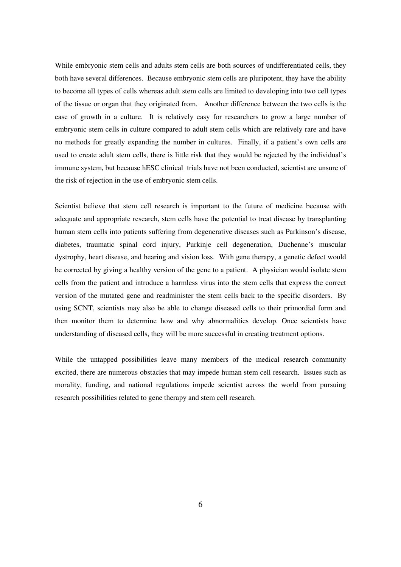While embryonic stem cells and adults stem cells are both sources of undifferentiated cells, they both have several differences. Because embryonic stem cells are pluripotent, they have the ability to become all types of cells whereas adult stem cells are limited to developing into two cell types of the tissue or organ that they originated from. Another difference between the two cells is the ease of growth in a culture. It is relatively easy for researchers to grow a large number of embryonic stem cells in culture compared to adult stem cells which are relatively rare and have no methods for greatly expanding the number in cultures. Finally, if a patient's own cells are used to create adult stem cells, there is little risk that they would be rejected by the individual's immune system, but because hESC clinical trials have not been conducted, scientist are unsure of the risk of rejection in the use of embryonic stem cells.

Scientist believe that stem cell research is important to the future of medicine because with adequate and appropriate research, stem cells have the potential to treat disease by transplanting human stem cells into patients suffering from degenerative diseases such as Parkinson's disease, diabetes, traumatic spinal cord injury, Purkinje cell degeneration, Duchenne's muscular dystrophy, heart disease, and hearing and vision loss. With gene therapy, a genetic defect would be corrected by giving a healthy version of the gene to a patient. A physician would isolate stem cells from the patient and introduce a harmless virus into the stem cells that express the correct version of the mutated gene and readminister the stem cells back to the specific disorders. By using SCNT, scientists may also be able to change diseased cells to their primordial form and then monitor them to determine how and why abnormalities develop. Once scientists have understanding of diseased cells, they will be more successful in creating treatment options.

While the untapped possibilities leave many members of the medical research community excited, there are numerous obstacles that may impede human stem cell research. Issues such as morality, funding, and national regulations impede scientist across the world from pursuing research possibilities related to gene therapy and stem cell research.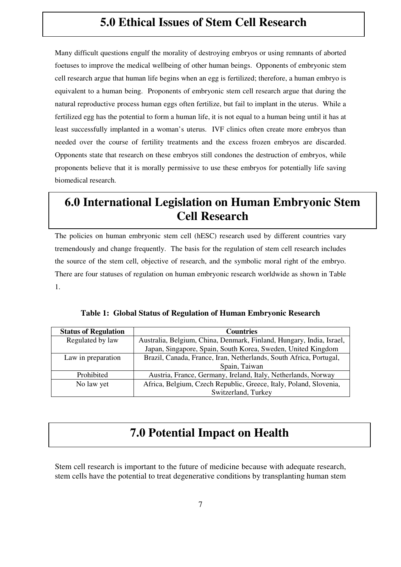## **5.0 Ethical Issues of Stem Cell Research**

Many difficult questions engulf the morality of destroying embryos or using remnants of aborted foetuses to improve the medical wellbeing of other human beings. Opponents of embryonic stem cell research argue that human life begins when an egg is fertilized; therefore, a human embryo is equivalent to a human being. Proponents of embryonic stem cell research argue that during the natural reproductive process human eggs often fertilize, but fail to implant in the uterus. While a fertilized egg has the potential to form a human life, it is not equal to a human being until it has at least successfully implanted in a woman's uterus. IVF clinics often create more embryos than needed over the course of fertility treatments and the excess frozen embryos are discarded. Opponents state that research on these embryos still condones the destruction of embryos, while proponents believe that it is morally permissive to use these embryos for potentially life saving biomedical research.

## **6.0 International Legislation on Human Embryonic Stem Cell Research**

The policies on human embryonic stem cell (hESC) research used by different countries vary tremendously and change frequently. The basis for the regulation of stem cell research includes the source of the stem cell, objective of research, and the symbolic moral right of the embryo. There are four statuses of regulation on human embryonic research worldwide as shown in Table 1.

| <b>Status of Regulation</b> | <b>Countries</b>                                                     |
|-----------------------------|----------------------------------------------------------------------|
| Regulated by law            | Australia, Belgium, China, Denmark, Finland, Hungary, India, Israel, |
|                             | Japan, Singapore, Spain, South Korea, Sweden, United Kingdom         |
| Law in preparation          | Brazil, Canada, France, Iran, Netherlands, South Africa, Portugal,   |
|                             | Spain, Taiwan                                                        |
| Prohibited                  | Austria, France, Germany, Ireland, Italy, Netherlands, Norway        |
| No law yet                  | Africa, Belgium, Czech Republic, Greece, Italy, Poland, Slovenia,    |
|                             | Switzerland, Turkey                                                  |

**Table 1: Global Status of Regulation of Human Embryonic Research** 

## **7.0 Potential Impact on Health**

Stem cell research is important to the future of medicine because with adequate research, stem cells have the potential to treat degenerative conditions by transplanting human stem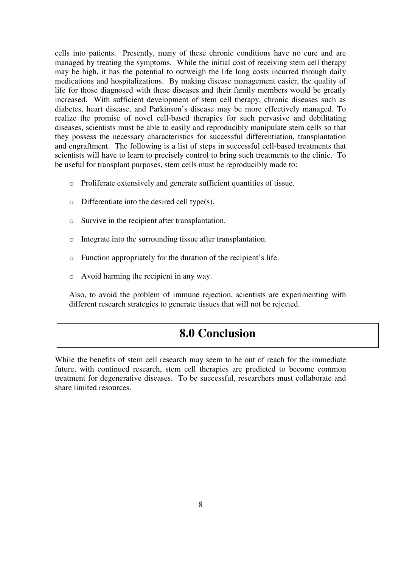cells into patients. Presently, many of these chronic conditions have no cure and are managed by treating the symptoms. While the initial cost of receiving stem cell therapy may be high, it has the potential to outweigh the life long costs incurred through daily medications and hospitalizations. By making disease management easier, the quality of life for those diagnosed with these diseases and their family members would be greatly increased. With sufficient development of stem cell therapy, chronic diseases such as diabetes, heart disease, and Parkinson's disease may be more effectively managed. To realize the promise of novel cell-based therapies for such pervasive and debilitating diseases, scientists must be able to easily and reproducibly manipulate stem cells so that they possess the necessary characteristics for successful differentiation, transplantation and engraftment. The following is a list of steps in successful cell-based treatments that scientists will have to learn to precisely control to bring such treatments to the clinic. To be useful for transplant purposes, stem cells must be reproducibly made to:

- o Proliferate extensively and generate sufficient quantities of tissue.
- $\circ$  Differentiate into the desired cell type(s).
- o Survive in the recipient after transplantation.
- o Integrate into the surrounding tissue after transplantation.
- o Function appropriately for the duration of the recipient's life.
- o Avoid harming the recipient in any way.

Also, to avoid the problem of immune rejection, scientists are experimenting with different research strategies to generate tissues that will not be rejected.

### **8.0 Conclusion**

While the benefits of stem cell research may seem to be out of reach for the immediate future, with continued research, stem cell therapies are predicted to become common treatment for degenerative diseases. To be successful, researchers must collaborate and share limited resources.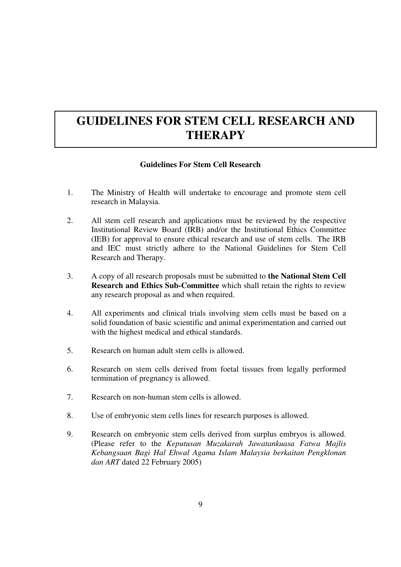## **GUIDELINES FOR STEM CELL RESEARCH AND THERAPY**

### **Guidelines For Stem Cell Research**

- 1. The Ministry of Health will undertake to encourage and promote stem cell research in Malaysia.
- 2. All stem cell research and applications must be reviewed by the respective Institutional Review Board (IRB) and/or the Institutional Ethics Committee (IEB) for approval to ensure ethical research and use of stem cells. The IRB and IEC must strictly adhere to the National Guidelines for Stem Cell Research and Therapy.
- 3. A copy of all research proposals must be submitted to **the National Stem Cell Research and Ethics Sub-Committee** which shall retain the rights to review any research proposal as and when required.
- 4. All experiments and clinical trials involving stem cells must be based on a solid foundation of basic scientific and animal experimentation and carried out with the highest medical and ethical standards.
- 5. Research on human adult stem cells is allowed.
- 6. Research on stem cells derived from foetal tissues from legally performed termination of pregnancy is allowed.
- 7. Research on non-human stem cells is allowed.
- 8. Use of embryonic stem cells lines for research purposes is allowed.
- 9. Research on embryonic stem cells derived from surplus embryos is allowed. (Please refer to the *Keputusan Muzakarah Jawatankuasa Fatwa Majlis Kebangsaan Bagi Hal Ehwal Agama Islam Malaysia berkaitan Pengklonan dan ART* dated 22 February 2005)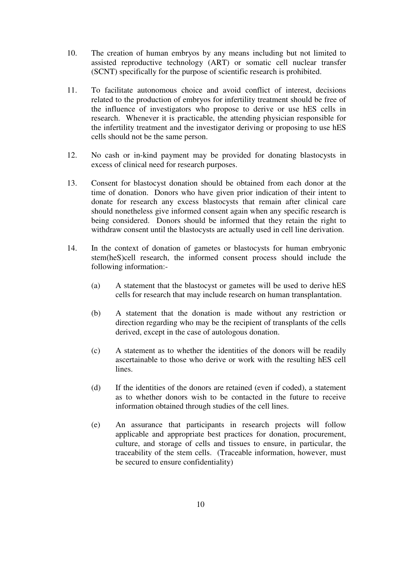- 10. The creation of human embryos by any means including but not limited to assisted reproductive technology (ART) or somatic cell nuclear transfer (SCNT) specifically for the purpose of scientific research is prohibited.
- 11. To facilitate autonomous choice and avoid conflict of interest, decisions related to the production of embryos for infertility treatment should be free of the influence of investigators who propose to derive or use hES cells in research. Whenever it is practicable, the attending physician responsible for the infertility treatment and the investigator deriving or proposing to use hES cells should not be the same person.
- 12. No cash or in-kind payment may be provided for donating blastocysts in excess of clinical need for research purposes.
- 13. Consent for blastocyst donation should be obtained from each donor at the time of donation. Donors who have given prior indication of their intent to donate for research any excess blastocysts that remain after clinical care should nonetheless give informed consent again when any specific research is being considered. Donors should be informed that they retain the right to withdraw consent until the blastocysts are actually used in cell line derivation.
- 14. In the context of donation of gametes or blastocysts for human embryonic stem(heS)cell research, the informed consent process should include the following information:-
	- (a) A statement that the blastocyst or gametes will be used to derive hES cells for research that may include research on human transplantation.
	- (b) A statement that the donation is made without any restriction or direction regarding who may be the recipient of transplants of the cells derived, except in the case of autologous donation.
	- (c) A statement as to whether the identities of the donors will be readily ascertainable to those who derive or work with the resulting hES cell lines.
	- (d) If the identities of the donors are retained (even if coded), a statement as to whether donors wish to be contacted in the future to receive information obtained through studies of the cell lines.
	- (e) An assurance that participants in research projects will follow applicable and appropriate best practices for donation, procurement, culture, and storage of cells and tissues to ensure, in particular, the traceability of the stem cells. (Traceable information, however, must be secured to ensure confidentiality)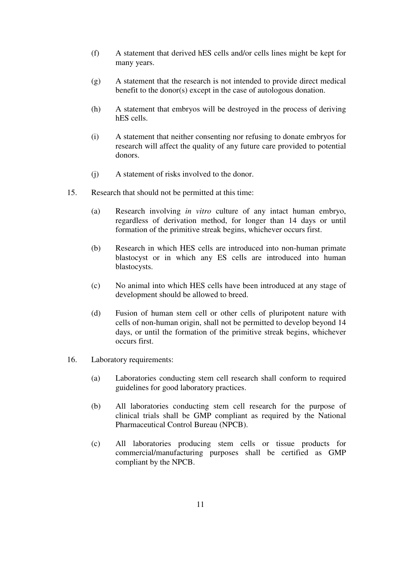- (f) A statement that derived hES cells and/or cells lines might be kept for many years.
- (g) A statement that the research is not intended to provide direct medical benefit to the donor(s) except in the case of autologous donation.
- (h) A statement that embryos will be destroyed in the process of deriving hES cells.
- (i) A statement that neither consenting nor refusing to donate embryos for research will affect the quality of any future care provided to potential donors.
- (j) A statement of risks involved to the donor.
- 15. Research that should not be permitted at this time:
	- (a) Research involving *in vitro* culture of any intact human embryo, regardless of derivation method, for longer than 14 days or until formation of the primitive streak begins, whichever occurs first.
	- (b) Research in which HES cells are introduced into non-human primate blastocyst or in which any ES cells are introduced into human blastocysts.
	- (c) No animal into which HES cells have been introduced at any stage of development should be allowed to breed.
	- (d) Fusion of human stem cell or other cells of pluripotent nature with cells of non-human origin, shall not be permitted to develop beyond 14 days, or until the formation of the primitive streak begins, whichever occurs first.
- 16. Laboratory requirements:
	- (a) Laboratories conducting stem cell research shall conform to required guidelines for good laboratory practices.
	- (b) All laboratories conducting stem cell research for the purpose of clinical trials shall be GMP compliant as required by the National Pharmaceutical Control Bureau (NPCB).
	- (c) All laboratories producing stem cells or tissue products for commercial/manufacturing purposes shall be certified as GMP compliant by the NPCB.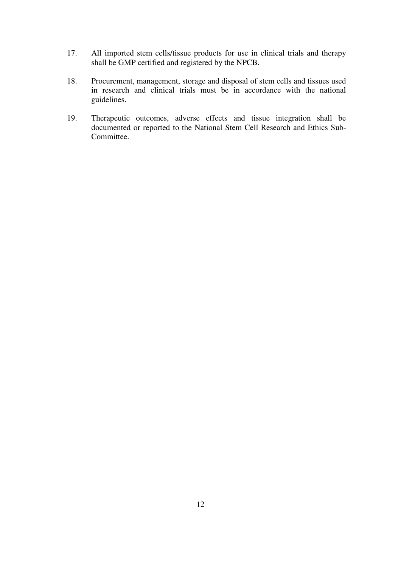- 17. All imported stem cells/tissue products for use in clinical trials and therapy shall be GMP certified and registered by the NPCB.
- 18. Procurement, management, storage and disposal of stem cells and tissues used in research and clinical trials must be in accordance with the national guidelines.
- 19. Therapeutic outcomes, adverse effects and tissue integration shall be documented or reported to the National Stem Cell Research and Ethics Sub-Committee.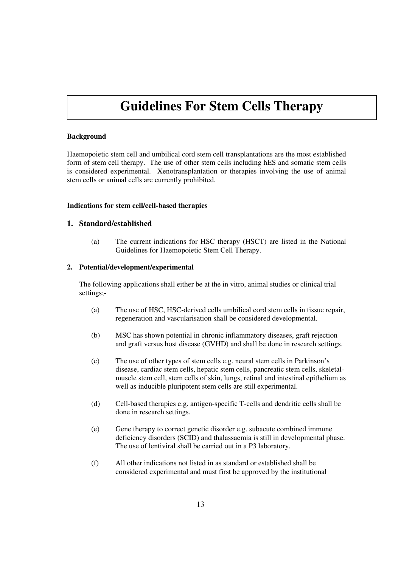## **Guidelines For Stem Cells Therapy**

#### **Background**

Haemopoietic stem cell and umbilical cord stem cell transplantations are the most established form of stem cell therapy. The use of other stem cells including hES and somatic stem cells is considered experimental. Xenotransplantation or therapies involving the use of animal stem cells or animal cells are currently prohibited.

#### **Indications for stem cell/cell-based therapies**

#### **1. Standard/established**

(a) The current indications for HSC therapy (HSCT) are listed in the National Guidelines for Haemopoietic Stem Cell Therapy.

#### **2. Potential/development/experimental**

The following applications shall either be at the in vitro, animal studies or clinical trial settings;-

- (a) The use of HSC, HSC-derived cells umbilical cord stem cells in tissue repair, regeneration and vascularisation shall be considered developmental.
- (b) MSC has shown potential in chronic inflammatory diseases, graft rejection and graft versus host disease (GVHD) and shall be done in research settings.
- (c) The use of other types of stem cells e.g. neural stem cells in Parkinson's disease, cardiac stem cells, hepatic stem cells, pancreatic stem cells, skeletalmuscle stem cell, stem cells of skin, lungs, retinal and intestinal epithelium as well as inducible pluripotent stem cells are still experimental.
- (d) Cell-based therapies e.g. antigen-specific T-cells and dendritic cells shall be done in research settings.
- (e) Gene therapy to correct genetic disorder e.g. subacute combined immune deficiency disorders (SCID) and thalassaemia is still in developmental phase. The use of lentiviral shall be carried out in a P3 laboratory.
- (f) All other indications not listed in as standard or established shall be considered experimental and must first be approved by the institutional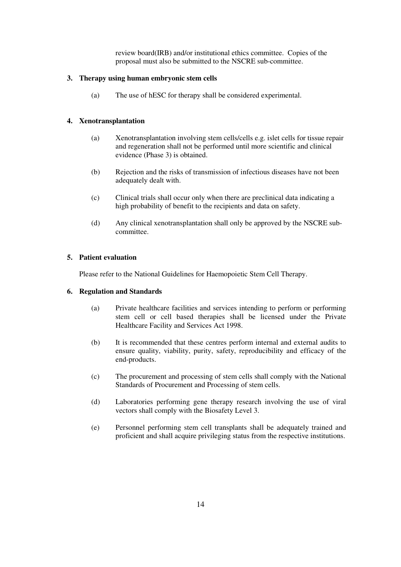review board(IRB) and/or institutional ethics committee. Copies of the proposal must also be submitted to the NSCRE sub-committee.

#### **3. Therapy using human embryonic stem cells**

(a) The use of hESC for therapy shall be considered experimental.

#### **4. Xenotransplantation**

- (a) Xenotransplantation involving stem cells/cells e.g. islet cells for tissue repair and regeneration shall not be performed until more scientific and clinical evidence (Phase 3) is obtained.
- (b) Rejection and the risks of transmission of infectious diseases have not been adequately dealt with.
- (c) Clinical trials shall occur only when there are preclinical data indicating a high probability of benefit to the recipients and data on safety.
- (d) Any clinical xenotransplantation shall only be approved by the NSCRE subcommittee.

#### **5. Patient evaluation**

Please refer to the National Guidelines for Haemopoietic Stem Cell Therapy.

#### **6. Regulation and Standards**

- (a) Private healthcare facilities and services intending to perform or performing stem cell or cell based therapies shall be licensed under the Private Healthcare Facility and Services Act 1998.
- (b) It is recommended that these centres perform internal and external audits to ensure quality, viability, purity, safety, reproducibility and efficacy of the end-products.
- (c) The procurement and processing of stem cells shall comply with the National Standards of Procurement and Processing of stem cells.
- (d) Laboratories performing gene therapy research involving the use of viral vectors shall comply with the Biosafety Level 3.
- (e) Personnel performing stem cell transplants shall be adequately trained and proficient and shall acquire privileging status from the respective institutions.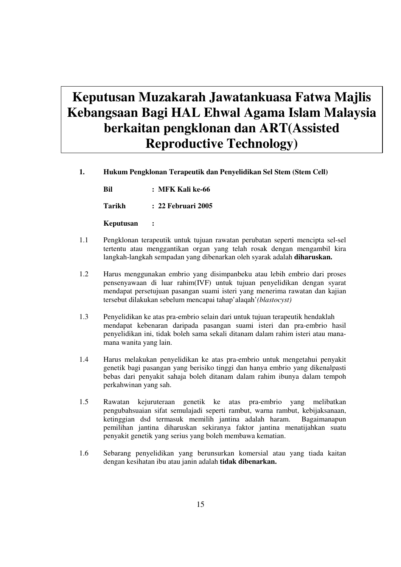# **Keputusan Muzakarah Jawatankuasa Fatwa Majlis Kebangsaan Bagi HAL Ehwal Agama Islam Malaysia berkaitan pengklonan dan ART(Assisted Reproductive Technology)**

**1. Hukum Pengklonan Terapeutik dan Penyelidikan Sel Stem (Stem Cell)** 

 **Bil : MFK Kali ke-66 Tarikh : 22 Februari 2005** 

 **Keputusan :** 

- 1.1 Pengklonan terapeutik untuk tujuan rawatan perubatan seperti mencipta sel-sel tertentu atau menggantikan organ yang telah rosak dengan mengambil kira langkah-langkah sempadan yang dibenarkan oleh syarak adalah **diharuskan.**
- 1.2 Harus menggunakan embrio yang disimpanbeku atau lebih embrio dari proses pensenyawaan di luar rahim(IVF) untuk tujuan penyelidikan dengan syarat mendapat persetujuan pasangan suami isteri yang menerima rawatan dan kajian tersebut dilakukan sebelum mencapai tahap'alaqah'*(blastocyst)*
- 1.3 Penyelidikan ke atas pra-embrio selain dari untuk tujuan terapeutik hendaklah mendapat kebenaran daripada pasangan suami isteri dan pra-embrio hasil penyelidikan ini, tidak boleh sama sekali ditanam dalam rahim isteri atau mana mana wanita yang lain.
- 1.4 Harus melakukan penyelidikan ke atas pra-embrio untuk mengetahui penyakit genetik bagi pasangan yang berisiko tinggi dan hanya embrio yang dikenalpasti bebas dari penyakit sahaja boleh ditanam dalam rahim ibunya dalam tempoh perkahwinan yang sah.
- 1.5 Rawatan kejuruteraan genetik ke atas pra-embrio yang melibatkan pengubahsuaian sifat semulajadi seperti rambut, warna rambut, kebijaksanaan, ketinggian dsd termasuk memilih jantina adalah haram. Bagaimanapun pemilihan jantina diharuskan sekiranya faktor jantina menatijahkan suatu penyakit genetik yang serius yang boleh membawa kematian.
- 1.6 Sebarang penyelidikan yang berunsurkan komersial atau yang tiada kaitan dengan kesihatan ibu atau janin adalah **tidak dibenarkan.**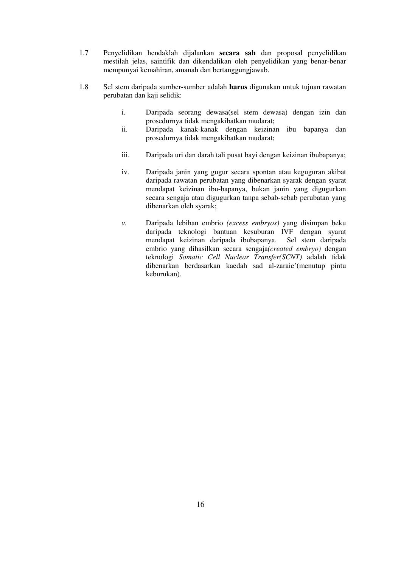- 1.7 Penyelidikan hendaklah dijalankan **secara sah** dan proposal penyelidikan mestilah jelas, saintifik dan dikendalikan oleh penyelidikan yang benar-benar mempunyai kemahiran, amanah dan bertanggungjawab.
- 1.8 Sel stem daripada sumber-sumber adalah **harus** digunakan untuk tujuan rawatan perubatan dan kaji selidik:
	- i. Daripada seorang dewasa(sel stem dewasa) dengan izin dan prosedurnya tidak mengakibatkan mudarat;
	- ii. Daripada kanak-kanak dengan keizinan ibu bapanya dan prosedurnya tidak mengakibatkan mudarat;
	- iii. Daripada uri dan darah tali pusat bayi dengan keizinan ibubapanya;
	- iv. Daripada janin yang gugur secara spontan atau keguguran akibat daripada rawatan perubatan yang dibenarkan syarak dengan syarat mendapat keizinan ibu-bapanya, bukan janin yang digugurkan secara sengaja atau digugurkan tanpa sebab-sebab perubatan yang dibenarkan oleh syarak;
	- *v.* Daripada lebihan embrio *(excess embryos)* yang disimpan beku daripada teknologi bantuan kesuburan IVF dengan syarat mendapat keizinan daripada ibubapanya. Sel stem daripada embrio yang dihasilkan secara sengaja*(created embryo)* dengan teknologi *Somatic Cell Nuclear Transfer(SCNT)* adalah tidak dibenarkan berdasarkan kaedah sad al-zaraie'(menutup pintu keburukan).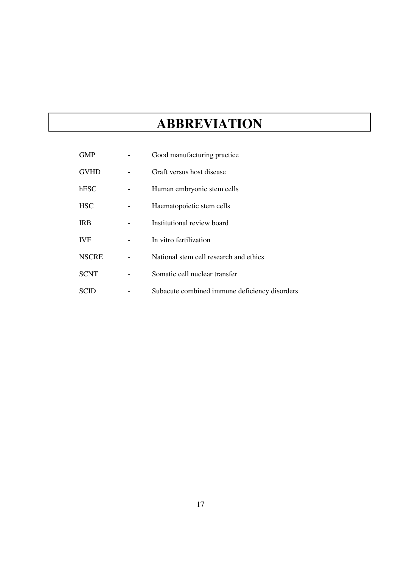# **ABBREVIATION**

| GMP          | Good manufacturing practice                   |
|--------------|-----------------------------------------------|
| <b>GVHD</b>  | Graft versus host disease                     |
| hESC         | Human embryonic stem cells                    |
| <b>HSC</b>   | Haematopoietic stem cells                     |
| <b>IRB</b>   | Institutional review board                    |
| <b>IVF</b>   | In vitro fertilization                        |
| <b>NSCRE</b> | National stem cell research and ethics        |
| <b>SCNT</b>  | Somatic cell nuclear transfer                 |
|              | Subacute combined immune deficiency disorders |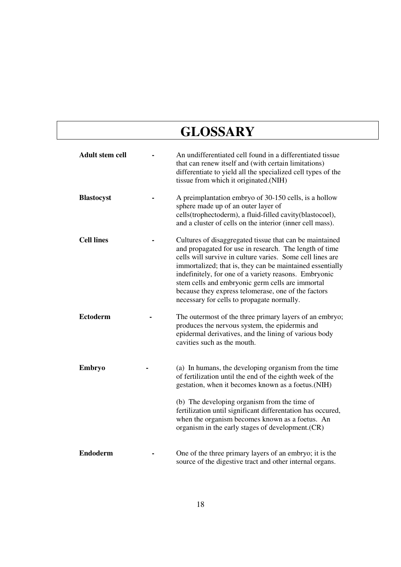# **GLOSSARY**

| <b>Adult stem cell</b> | An undifferentiated cell found in a differentiated tissue<br>that can renew itself and (with certain limitations)<br>differentiate to yield all the specialized cell types of the<br>tissue from which it originated.(NIH)                                                                                                                                                                                                                                    |
|------------------------|---------------------------------------------------------------------------------------------------------------------------------------------------------------------------------------------------------------------------------------------------------------------------------------------------------------------------------------------------------------------------------------------------------------------------------------------------------------|
| <b>Blastocyst</b>      | A preimplantation embryo of 30-150 cells, is a hollow<br>sphere made up of an outer layer of<br>cells(trophectoderm), a fluid-filled cavity(blastocoel),<br>and a cluster of cells on the interior (inner cell mass).                                                                                                                                                                                                                                         |
| <b>Cell lines</b>      | Cultures of disaggregated tissue that can be maintained<br>and propagated for use in research. The length of time<br>cells will survive in culture varies. Some cell lines are<br>immortalized; that is, they can be maintained essentially<br>indefinitely, for one of a variety reasons. Embryonic<br>stem cells and embryonic germ cells are immortal<br>because they express telomerase, one of the factors<br>necessary for cells to propagate normally. |
| <b>Ectoderm</b>        | The outermost of the three primary layers of an embryo;<br>produces the nervous system, the epidermis and<br>epidermal derivatives, and the lining of various body<br>cavities such as the mouth.                                                                                                                                                                                                                                                             |
| Embryo                 | (a) In humans, the developing organism from the time<br>of fertilization until the end of the eighth week of the<br>gestation, when it becomes known as a foetus. (NIH)<br>(b) The developing organism from the time of<br>fertilization until significant differentation has occured,<br>when the organism becomes known as a foetus. An<br>organism in the early stages of development. (CR)                                                                |
| <b>Endoderm</b>        | One of the three primary layers of an embryo; it is the<br>source of the digestive tract and other internal organs.                                                                                                                                                                                                                                                                                                                                           |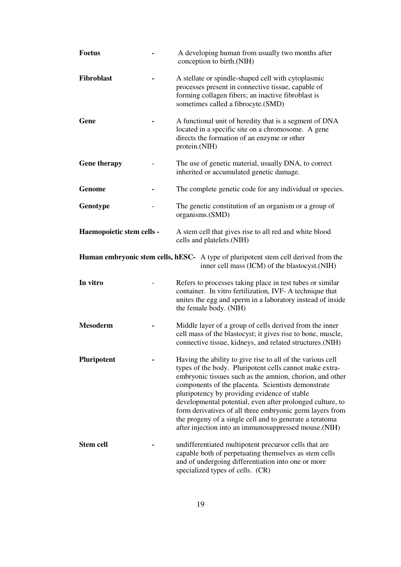| <b>Foetus</b>             | A developing human from usually two months after<br>conception to birth.(NIH)                                                                                                                                                                                                                                                                                                                                                                                                                                                       |
|---------------------------|-------------------------------------------------------------------------------------------------------------------------------------------------------------------------------------------------------------------------------------------------------------------------------------------------------------------------------------------------------------------------------------------------------------------------------------------------------------------------------------------------------------------------------------|
| Fibroblast                | A stellate or spindle-shaped cell with cytoplasmic<br>processes present in connective tissue, capable of<br>forming collagen fibers; an inactive fibroblast is<br>sometimes called a fibrocyte.(SMD)                                                                                                                                                                                                                                                                                                                                |
| Gene                      | A functional unit of heredity that is a segment of DNA<br>located in a specific site on a chromosome. A gene<br>directs the formation of an enzyme or other<br>protein.(NIH)                                                                                                                                                                                                                                                                                                                                                        |
| <b>Gene therapy</b>       | The use of genetic material, usually DNA, to correct<br>inherited or accumulated genetic damage.                                                                                                                                                                                                                                                                                                                                                                                                                                    |
| <b>Genome</b>             | The complete genetic code for any individual or species.                                                                                                                                                                                                                                                                                                                                                                                                                                                                            |
| Genotype                  | The genetic constitution of an organism or a group of<br>organisms.(SMD)                                                                                                                                                                                                                                                                                                                                                                                                                                                            |
| Haemopoietic stem cells - | A stem cell that gives rise to all red and white blood<br>cells and platelets. (NIH)                                                                                                                                                                                                                                                                                                                                                                                                                                                |
|                           | <b>Human embryonic stem cells, hESC-</b> A type of pluripotent stem cell derived from the<br>inner cell mass (ICM) of the blastocyst. (NIH)                                                                                                                                                                                                                                                                                                                                                                                         |
| In vitro                  | Refers to processes taking place in test tubes or similar<br>container. In vitro fertilization, IVF-A technique that<br>unites the egg and sperm in a laboratory instead of inside<br>the female body. (NIH)                                                                                                                                                                                                                                                                                                                        |
| <b>Mesoderm</b>           | Middle layer of a group of cells derived from the inner<br>cell mass of the blastocyst; it gives rise to bone, muscle,<br>connective tissue, kidneys, and related structures.(NIH)                                                                                                                                                                                                                                                                                                                                                  |
| Pluripotent               | Having the ability to give rise to all of the various cell<br>types of the body. Pluripotent cells cannot make extra-<br>embryonic tissues such as the amnion, chorion, and other<br>components of the placenta. Scientists demonstrate<br>pluripotency by providing evidence of stable<br>developmental potential, even after prolonged culture, to<br>form derivatives of all three embryonic germ layers from<br>the progeny of a single cell and to generate a teratoma<br>after injection into an immunosuppressed mouse.(NIH) |
| <b>Stem cell</b>          | undifferentiated multipotent precursor cells that are<br>capable both of perpetuating themselves as stem cells<br>and of undergoing differentiation into one or more<br>specialized types of cells. (CR)                                                                                                                                                                                                                                                                                                                            |